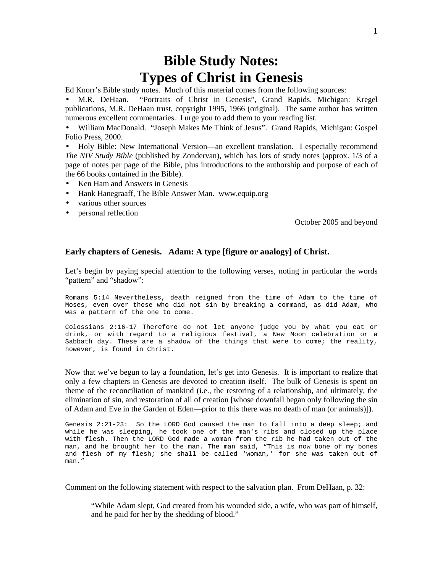# **Bible Study Notes: Types of Christ in Genesis**

Ed Knorr's Bible study notes. Much of this material comes from the following sources:

• M.R. DeHaan. "Portraits of Christ in Genesis", Grand Rapids, Michigan: Kregel publications, M.R. DeHaan trust, copyright 1995, 1966 (original). The same author has written numerous excellent commentaries. I urge you to add them to your reading list.

• William MacDonald. "Joseph Makes Me Think of Jesus". Grand Rapids, Michigan: Gospel Folio Press, 2000.

• Holy Bible: New International Version—an excellent translation. I especially recommend *The NIV Study Bible* (published by Zondervan), which has lots of study notes (approx. 1/3 of a page of notes per page of the Bible, plus introductions to the authorship and purpose of each of the 66 books contained in the Bible).

- Ken Ham and Answers in Genesis
- Hank Hanegraaff, The Bible Answer Man. www.equip.org
- various other sources
- personal reflection

October 2005 and beyond

# **Early chapters of Genesis. Adam: A type [figure or analogy] of Christ.**

Let's begin by paying special attention to the following verses, noting in particular the words "pattern" and "shadow":

Romans 5:14 Nevertheless, death reigned from the time of Adam to the time of Moses, even over those who did not sin by breaking a command, as did Adam, who was a pattern of the one to come.

Colossians 2:16-17 Therefore do not let anyone judge you by what you eat or drink, or with regard to a religious festival, a New Moon celebration or a Sabbath day. These are a shadow of the things that were to come; the reality, however, is found in Christ.

Now that we've begun to lay a foundation, let's get into Genesis. It is important to realize that only a few chapters in Genesis are devoted to creation itself. The bulk of Genesis is spent on theme of the reconciliation of mankind (i.e., the restoring of a relationship, and ultimately, the elimination of sin, and restoration of all of creation [whose downfall began only following the sin of Adam and Eve in the Garden of Eden—prior to this there was no death of man (or animals)]).

Genesis 2:21-23: So the LORD God caused the man to fall into a deep sleep; and while he was sleeping, he took one of the man's ribs and closed up the place with flesh. Then the LORD God made a woman from the rib he had taken out of the man, and he brought her to the man. The man said, "This is now bone of my bones and flesh of my flesh; she shall be called 'woman,' for she was taken out of man."

Comment on the following statement with respect to the salvation plan. From DeHaan, p. 32:

"While Adam slept, God created from his wounded side, a wife, who was part of himself, and he paid for her by the shedding of blood."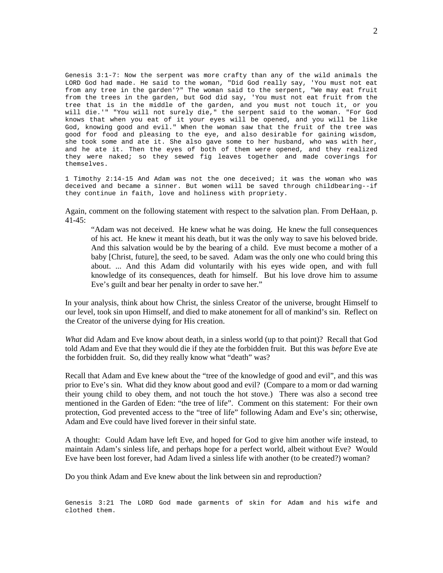Genesis 3:1-7: Now the serpent was more crafty than any of the wild animals the LORD God had made. He said to the woman, "Did God really say, 'You must not eat from any tree in the garden'?" The woman said to the serpent, "We may eat fruit from the trees in the garden, but God did say, 'You must not eat fruit from the tree that is in the middle of the garden, and you must not touch it, or you will die.'" "You will not surely die," the serpent said to the woman. "For God knows that when you eat of it your eyes will be opened, and you will be like God, knowing good and evil." When the woman saw that the fruit of the tree was good for food and pleasing to the eye, and also desirable for gaining wisdom, she took some and ate it. She also gave some to her husband, who was with her, and he ate it. Then the eyes of both of them were opened, and they realized they were naked; so they sewed fig leaves together and made coverings for themselves.

1 Timothy 2:14-15 And Adam was not the one deceived; it was the woman who was deceived and became a sinner. But women will be saved through childbearing--if they continue in faith, love and holiness with propriety.

Again, comment on the following statement with respect to the salvation plan. From DeHaan, p. 41-45:

"Adam was not deceived. He knew what he was doing. He knew the full consequences of his act. He knew it meant his death, but it was the only way to save his beloved bride. And this salvation would be by the bearing of a child. Eve must become a mother of a baby [Christ, future], the seed, to be saved. Adam was the only one who could bring this about. ... And this Adam did voluntarily with his eyes wide open, and with full knowledge of its consequences, death for himself. But his love drove him to assume Eve's guilt and bear her penalty in order to save her."

In your analysis, think about how Christ, the sinless Creator of the universe, brought Himself to our level, took sin upon Himself, and died to make atonement for all of mankind's sin. Reflect on the Creator of the universe dying for His creation.

*What* did Adam and Eve know about death, in a sinless world (up to that point)? Recall that God told Adam and Eve that they would die if they ate the forbidden fruit. But this was *before* Eve ate the forbidden fruit. So, did they really know what "death" was?

Recall that Adam and Eve knew about the "tree of the knowledge of good and evil", and this was prior to Eve's sin. What did they know about good and evil? (Compare to a mom or dad warning their young child to obey them, and not touch the hot stove.) There was also a second tree mentioned in the Garden of Eden: "the tree of life". Comment on this statement: For their own protection, God prevented access to the "tree of life" following Adam and Eve's sin; otherwise, Adam and Eve could have lived forever in their sinful state.

A thought: Could Adam have left Eve, and hoped for God to give him another wife instead, to maintain Adam's sinless life, and perhaps hope for a perfect world, albeit without Eve? Would Eve have been lost forever, had Adam lived a sinless life with another (to be created?) woman?

Do you think Adam and Eve knew about the link between sin and reproduction?

Genesis 3:21 The LORD God made garments of skin for Adam and his wife and clothed them.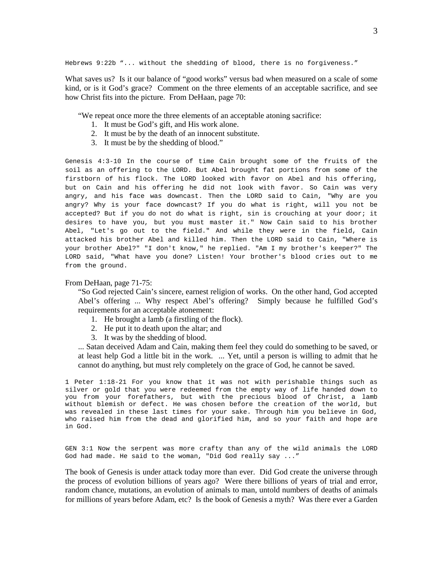Hebrews 9:22b "... without the shedding of blood, there is no forgiveness."

What saves us? Is it our balance of "good works" versus bad when measured on a scale of some kind, or is it God's grace? Comment on the three elements of an acceptable sacrifice, and see how Christ fits into the picture. From DeHaan, page 70:

"We repeat once more the three elements of an acceptable atoning sacrifice:

- 1. It must be God's gift, and His work alone.
- 2. It must be by the death of an innocent substitute.
- 3. It must be by the shedding of blood."

Genesis 4:3-10 In the course of time Cain brought some of the fruits of the soil as an offering to the LORD. But Abel brought fat portions from some of the firstborn of his flock. The LORD looked with favor on Abel and his offering, but on Cain and his offering he did not look with favor. So Cain was very angry, and his face was downcast. Then the LORD said to Cain, "Why are you angry? Why is your face downcast? If you do what is right, will you not be accepted? But if you do not do what is right, sin is crouching at your door; it desires to have you, but you must master it." Now Cain said to his brother Abel, "Let's go out to the field." And while they were in the field, Cain attacked his brother Abel and killed him. Then the LORD said to Cain, "Where is your brother Abel?" "I don't know," he replied. "Am I my brother's keeper?" The LORD said, "What have you done? Listen! Your brother's blood cries out to me from the ground.

#### From DeHaan, page 71-75:

"So God rejected Cain's sincere, earnest religion of works. On the other hand, God accepted Abel's offering ... Why respect Abel's offering? Simply because he fulfilled God's requirements for an acceptable atonement:

- 1. He brought a lamb (a firstling of the flock).
- 2. He put it to death upon the altar; and
- 3. It was by the shedding of blood.

... Satan deceived Adam and Cain, making them feel they could do something to be saved, or at least help God a little bit in the work. ... Yet, until a person is willing to admit that he cannot do anything, but must rely completely on the grace of God, he cannot be saved.

1 Peter 1:18-21 For you know that it was not with perishable things such as silver or gold that you were redeemed from the empty way of life handed down to you from your forefathers, but with the precious blood of Christ, a lamb without blemish or defect. He was chosen before the creation of the world, but was revealed in these last times for your sake. Through him you believe in God, who raised him from the dead and glorified him, and so your faith and hope are in God.

GEN 3:1 Now the serpent was more crafty than any of the wild animals the LORD God had made. He said to the woman, "Did God really say ..."

The book of Genesis is under attack today more than ever. Did God create the universe through the process of evolution billions of years ago? Were there billions of years of trial and error, random chance, mutations, an evolution of animals to man, untold numbers of deaths of animals for millions of years before Adam, etc? Is the book of Genesis a myth? Was there ever a Garden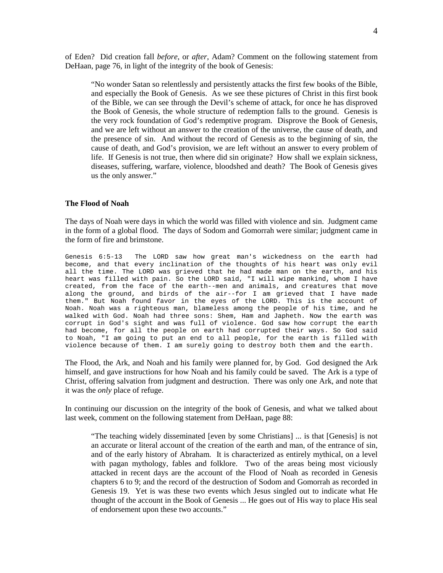of Eden? Did creation fall *before*, or *after*, Adam? Comment on the following statement from DeHaan, page 76, in light of the integrity of the book of Genesis:

"No wonder Satan so relentlessly and persistently attacks the first few books of the Bible, and especially the Book of Genesis. As we see these pictures of Christ in this first book of the Bible, we can see through the Devil's scheme of attack, for once he has disproved the Book of Genesis, the whole structure of redemption falls to the ground. Genesis is the very rock foundation of God's redemptive program. Disprove the Book of Genesis, and we are left without an answer to the creation of the universe, the cause of death, and the presence of sin. And without the record of Genesis as to the beginning of sin, the cause of death, and God's provision, we are left without an answer to every problem of life. If Genesis is not true, then where did sin originate? How shall we explain sickness, diseases, suffering, warfare, violence, bloodshed and death? The Book of Genesis gives us the only answer."

#### **The Flood of Noah**

The days of Noah were days in which the world was filled with violence and sin. Judgment came in the form of a global flood. The days of Sodom and Gomorrah were similar; judgment came in the form of fire and brimstone.

Genesis 6:5-13 The LORD saw how great man's wickedness on the earth had become, and that every inclination of the thoughts of his heart was only evil all the time. The LORD was grieved that he had made man on the earth, and his heart was filled with pain. So the LORD said, "I will wipe mankind, whom I have created, from the face of the earth--men and animals, and creatures that move along the ground, and birds of the air--for I am grieved that I have made them." But Noah found favor in the eyes of the LORD. This is the account of Noah. Noah was a righteous man, blameless among the people of his time, and he walked with God. Noah had three sons: Shem, Ham and Japheth. Now the earth was corrupt in God's sight and was full of violence. God saw how corrupt the earth had become, for all the people on earth had corrupted their ways. So God said to Noah, "I am going to put an end to all people, for the earth is filled with violence because of them. I am surely going to destroy both them and the earth.

The Flood, the Ark, and Noah and his family were planned for, by God. God designed the Ark himself, and gave instructions for how Noah and his family could be saved. The Ark is a type of Christ, offering salvation from judgment and destruction. There was only one Ark, and note that it was the *only* place of refuge.

In continuing our discussion on the integrity of the book of Genesis, and what we talked about last week, comment on the following statement from DeHaan, page 88:

"The teaching widely disseminated [even by some Christians] ... is that [Genesis] is not an accurate or literal account of the creation of the earth and man, of the entrance of sin, and of the early history of Abraham. It is characterized as entirely mythical, on a level with pagan mythology, fables and folklore. Two of the areas being most viciously attacked in recent days are the account of the Flood of Noah as recorded in Genesis chapters 6 to 9; and the record of the destruction of Sodom and Gomorrah as recorded in Genesis 19. Yet is was these two events which Jesus singled out to indicate what He thought of the account in the Book of Genesis ... He goes out of His way to place His seal of endorsement upon these two accounts."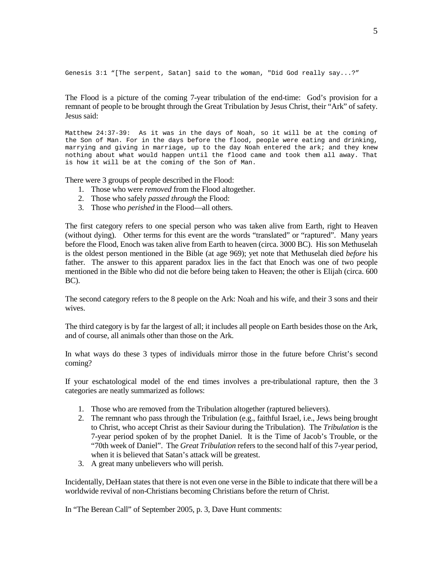Genesis 3:1 "[The serpent, Satan] said to the woman, "Did God really say...?"

The Flood is a picture of the coming 7-year tribulation of the end-time: God's provision for a remnant of people to be brought through the Great Tribulation by Jesus Christ, their "Ark" of safety. Jesus said:

Matthew 24:37-39: As it was in the days of Noah, so it will be at the coming of the Son of Man. For in the days before the flood, people were eating and drinking, marrying and giving in marriage, up to the day Noah entered the ark; and they knew nothing about what would happen until the flood came and took them all away. That is how it will be at the coming of the Son of Man.

There were 3 groups of people described in the Flood:

- 1. Those who were *removed* from the Flood altogether.
- 2. Those who safely *passed through* the Flood:
- 3. Those who *perished* in the Flood—all others.

The first category refers to one special person who was taken alive from Earth, right to Heaven (without dying). Other terms for this event are the words "translated" or "raptured". Many years before the Flood, Enoch was taken alive from Earth to heaven (circa. 3000 BC). His son Methuselah is the oldest person mentioned in the Bible (at age 969); yet note that Methuselah died *before* his father. The answer to this apparent paradox lies in the fact that Enoch was one of two people mentioned in the Bible who did not die before being taken to Heaven; the other is Elijah (circa. 600 BC).

The second category refers to the 8 people on the Ark: Noah and his wife, and their 3 sons and their wives.

The third category is by far the largest of all; it includes all people on Earth besides those on the Ark, and of course, all animals other than those on the Ark.

In what ways do these 3 types of individuals mirror those in the future before Christ's second coming?

If your eschatological model of the end times involves a pre-tribulational rapture, then the 3 categories are neatly summarized as follows:

- 1. Those who are removed from the Tribulation altogether (raptured believers).
- 2. The remnant who pass through the Tribulation (e.g., faithful Israel, i.e., Jews being brought to Christ, who accept Christ as their Saviour during the Tribulation). The *Tribulation* is the 7-year period spoken of by the prophet Daniel. It is the Time of Jacob's Trouble, or the "70th week of Daniel". The *Great Tribulation* refers to the second half of this 7-year period, when it is believed that Satan's attack will be greatest.
- 3. A great many unbelievers who will perish.

Incidentally, DeHaan states that there is not even one verse in the Bible to indicate that there will be a worldwide revival of non-Christians becoming Christians before the return of Christ.

In "The Berean Call" of September 2005, p. 3, Dave Hunt comments: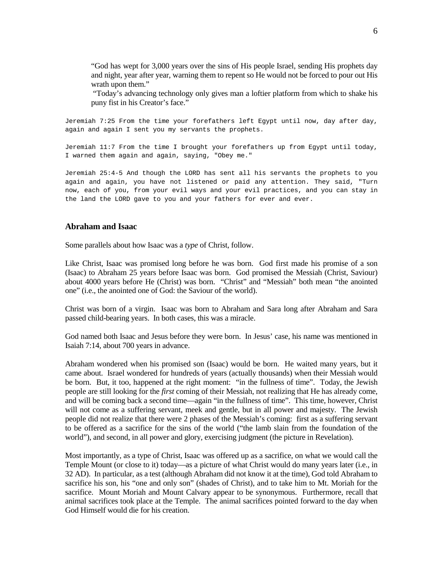"God has wept for 3,000 years over the sins of His people Israel, sending His prophets day and night, year after year, warning them to repent so He would not be forced to pour out His wrath upon them."

 "Today's advancing technology only gives man a loftier platform from which to shake his puny fist in his Creator's face."

Jeremiah 7:25 From the time your forefathers left Egypt until now, day after day, again and again I sent you my servants the prophets.

Jeremiah 11:7 From the time I brought your forefathers up from Egypt until today, I warned them again and again, saying, "Obey me."

Jeremiah 25:4-5 And though the LORD has sent all his servants the prophets to you again and again, you have not listened or paid any attention. They said, "Turn now, each of you, from your evil ways and your evil practices, and you can stay in the land the LORD gave to you and your fathers for ever and ever.

# **Abraham and Isaac**

Some parallels about how Isaac was a *type* of Christ, follow.

Like Christ, Isaac was promised long before he was born. God first made his promise of a son (Isaac) to Abraham 25 years before Isaac was born. God promised the Messiah (Christ, Saviour) about 4000 years before He (Christ) was born. "Christ" and "Messiah" both mean "the anointed one" (i.e., the anointed one of God: the Saviour of the world).

Christ was born of a virgin. Isaac was born to Abraham and Sara long after Abraham and Sara passed child-bearing years. In both cases, this was a miracle.

God named both Isaac and Jesus before they were born. In Jesus' case, his name was mentioned in Isaiah 7:14, about 700 years in advance.

Abraham wondered when his promised son (Isaac) would be born. He waited many years, but it came about. Israel wondered for hundreds of years (actually thousands) when their Messiah would be born. But, it too, happened at the right moment: "in the fullness of time". Today, the Jewish people are still looking for the *first* coming of their Messiah, not realizing that He has already come, and will be coming back a second time—again "in the fullness of time". This time, however, Christ will not come as a suffering servant, meek and gentle, but in all power and majesty. The Jewish people did not realize that there were 2 phases of the Messiah's coming: first as a suffering servant to be offered as a sacrifice for the sins of the world ("the lamb slain from the foundation of the world"), and second, in all power and glory, exercising judgment (the picture in Revelation).

Most importantly, as a type of Christ, Isaac was offered up as a sacrifice, on what we would call the Temple Mount (or close to it) today—as a picture of what Christ would do many years later (i.e., in 32 AD). In particular, as a test (although Abraham did not know it at the time), God told Abraham to sacrifice his son, his "one and only son" (shades of Christ), and to take him to Mt. Moriah for the sacrifice. Mount Moriah and Mount Calvary appear to be synonymous. Furthermore, recall that animal sacrifices took place at the Temple. The animal sacrifices pointed forward to the day when God Himself would die for his creation.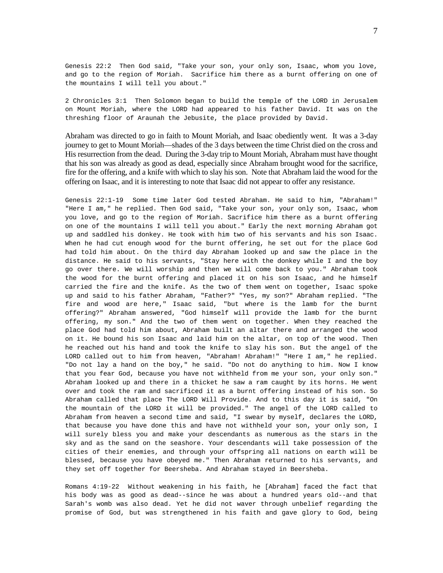Genesis 22:2 Then God said, "Take your son, your only son, Isaac, whom you love, and go to the region of Moriah. Sacrifice him there as a burnt offering on one of the mountains I will tell you about."

2 Chronicles 3:1 Then Solomon began to build the temple of the LORD in Jerusalem on Mount Moriah, where the LORD had appeared to his father David. It was on the threshing floor of Araunah the Jebusite, the place provided by David.

Abraham was directed to go in faith to Mount Moriah, and Isaac obediently went. It was a 3-day journey to get to Mount Moriah—shades of the 3 days between the time Christ died on the cross and His resurrection from the dead. During the 3-day trip to Mount Moriah, Abraham must have thought that his son was already as good as dead, especially since Abraham brought wood for the sacrifice, fire for the offering, and a knife with which to slay his son. Note that Abraham laid the wood for the offering on Isaac, and it is interesting to note that Isaac did not appear to offer any resistance.

Genesis 22:1-19 Some time later God tested Abraham. He said to him, "Abraham!" "Here I am," he replied. Then God said, "Take your son, your only son, Isaac, whom you love, and go to the region of Moriah. Sacrifice him there as a burnt offering on one of the mountains I will tell you about." Early the next morning Abraham got up and saddled his donkey. He took with him two of his servants and his son Isaac. When he had cut enough wood for the burnt offering, he set out for the place God had told him about. On the third day Abraham looked up and saw the place in the distance. He said to his servants, "Stay here with the donkey while I and the boy go over there. We will worship and then we will come back to you." Abraham took the wood for the burnt offering and placed it on his son Isaac, and he himself carried the fire and the knife. As the two of them went on together, Isaac spoke up and said to his father Abraham, "Father?" "Yes, my son?" Abraham replied. "The fire and wood are here," Isaac said, "but where is the lamb for the burnt offering?" Abraham answered, "God himself will provide the lamb for the burnt offering, my son." And the two of them went on together. When they reached the place God had told him about, Abraham built an altar there and arranged the wood on it. He bound his son Isaac and laid him on the altar, on top of the wood. Then he reached out his hand and took the knife to slay his son. But the angel of the LORD called out to him from heaven, "Abraham! Abraham!" "Here I am," he replied. "Do not lay a hand on the boy," he said. "Do not do anything to him. Now I know that you fear God, because you have not withheld from me your son, your only son." Abraham looked up and there in a thicket he saw a ram caught by its horns. He went over and took the ram and sacrificed it as a burnt offering instead of his son. So Abraham called that place The LORD Will Provide. And to this day it is said, "On the mountain of the LORD it will be provided." The angel of the LORD called to Abraham from heaven a second time and said, "I swear by myself, declares the LORD, that because you have done this and have not withheld your son, your only son, I will surely bless you and make your descendants as numerous as the stars in the sky and as the sand on the seashore. Your descendants will take possession of the cities of their enemies, and through your offspring all nations on earth will be blessed, because you have obeyed me." Then Abraham returned to his servants, and they set off together for Beersheba. And Abraham stayed in Beersheba.

Romans 4:19-22 Without weakening in his faith, he [Abraham] faced the fact that his body was as good as dead--since he was about a hundred years old--and that Sarah's womb was also dead. Yet he did not waver through unbelief regarding the promise of God, but was strengthened in his faith and gave glory to God, being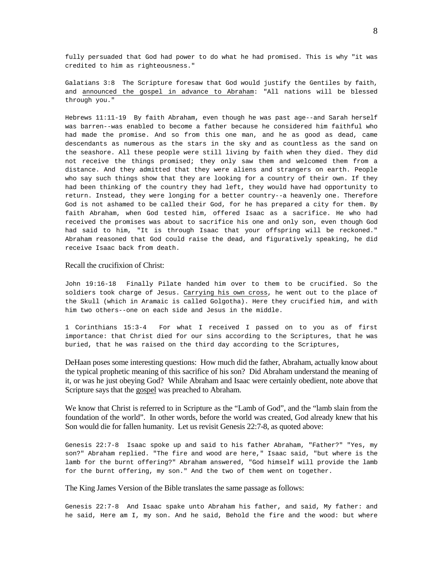fully persuaded that God had power to do what he had promised. This is why "it was credited to him as righteousness."

Galatians 3:8 The Scripture foresaw that God would justify the Gentiles by faith, and announced the gospel in advance to Abraham: "All nations will be blessed through you."

Hebrews 11:11-19 By faith Abraham, even though he was past age--and Sarah herself was barren--was enabled to become a father because he considered him faithful who had made the promise. And so from this one man, and he as good as dead, came descendants as numerous as the stars in the sky and as countless as the sand on the seashore. All these people were still living by faith when they died. They did not receive the things promised; they only saw them and welcomed them from a distance. And they admitted that they were aliens and strangers on earth. People who say such things show that they are looking for a country of their own. If they had been thinking of the country they had left, they would have had opportunity to return. Instead, they were longing for a better country--a heavenly one. Therefore God is not ashamed to be called their God, for he has prepared a city for them. By faith Abraham, when God tested him, offered Isaac as a sacrifice. He who had received the promises was about to sacrifice his one and only son, even though God had said to him, "It is through Isaac that your offspring will be reckoned." Abraham reasoned that God could raise the dead, and figuratively speaking, he did receive Isaac back from death.

#### Recall the crucifixion of Christ:

John 19:16-18 Finally Pilate handed him over to them to be crucified. So the soldiers took charge of Jesus. Carrying his own cross, he went out to the place of the Skull (which in Aramaic is called Golgotha). Here they crucified him, and with him two others--one on each side and Jesus in the middle.

1 Corinthians 15:3-4 For what I received I passed on to you as of first importance: that Christ died for our sins according to the Scriptures, that he was buried, that he was raised on the third day according to the Scriptures,

DeHaan poses some interesting questions: How much did the father, Abraham, actually know about the typical prophetic meaning of this sacrifice of his son? Did Abraham understand the meaning of it, or was he just obeying God? While Abraham and Isaac were certainly obedient, note above that Scripture says that the gospel was preached to Abraham.

We know that Christ is referred to in Scripture as the "Lamb of God", and the "lamb slain from the foundation of the world". In other words, before the world was created, God already knew that his Son would die for fallen humanity. Let us revisit Genesis 22:7-8, as quoted above:

Genesis 22:7-8 Isaac spoke up and said to his father Abraham, "Father?" "Yes, my son?" Abraham replied. "The fire and wood are here," Isaac said, "but where is the lamb for the burnt offering?" Abraham answered, "God himself will provide the lamb for the burnt offering, my son." And the two of them went on together.

The King James Version of the Bible translates the same passage as follows:

Genesis 22:7-8 And Isaac spake unto Abraham his father, and said, My father: and he said, Here am I, my son. And he said, Behold the fire and the wood: but where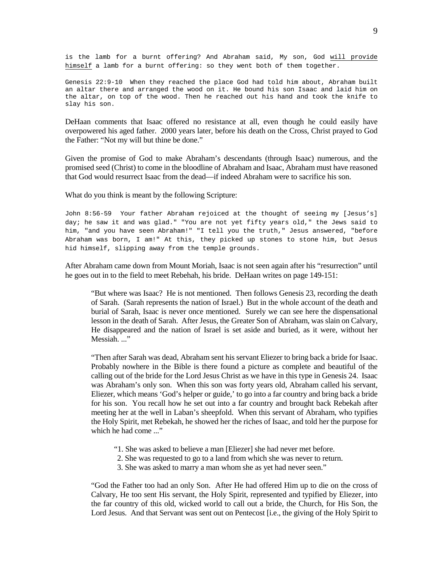is the lamb for a burnt offering? And Abraham said, My son, God will provide himself a lamb for a burnt offering: so they went both of them together.

Genesis 22:9-10 When they reached the place God had told him about, Abraham built an altar there and arranged the wood on it. He bound his son Isaac and laid him on the altar, on top of the wood. Then he reached out his hand and took the knife to slay his son.

DeHaan comments that Isaac offered no resistance at all, even though he could easily have overpowered his aged father. 2000 years later, before his death on the Cross, Christ prayed to God the Father: "Not my will but thine be done."

Given the promise of God to make Abraham's descendants (through Isaac) numerous, and the promised seed (Christ) to come in the bloodline of Abraham and Isaac, Abraham must have reasoned that God would resurrect Isaac from the dead—if indeed Abraham were to sacrifice his son.

What do you think is meant by the following Scripture:

John 8:56-59 Your father Abraham rejoiced at the thought of seeing my [Jesus's] day; he saw it and was glad." "You are not yet fifty years old," the Jews said to him, "and you have seen Abraham!" "I tell you the truth," Jesus answered, "before Abraham was born, I am!" At this, they picked up stones to stone him, but Jesus hid himself, slipping away from the temple grounds.

After Abraham came down from Mount Moriah, Isaac is not seen again after his "resurrection" until he goes out in to the field to meet Rebehah, his bride. DeHaan writes on page 149-151:

"But where was Isaac? He is not mentioned. Then follows Genesis 23, recording the death of Sarah. (Sarah represents the nation of Israel.) But in the whole account of the death and burial of Sarah, Isaac is never once mentioned. Surely we can see here the dispensational lesson in the death of Sarah. After Jesus, the Greater Son of Abraham, was slain on Calvary, He disappeared and the nation of Israel is set aside and buried, as it were, without her Messiah..."

"Then after Sarah was dead, Abraham sent his servant Eliezer to bring back a bride for Isaac. Probably nowhere in the Bible is there found a picture as complete and beautiful of the calling out of the bride for the Lord Jesus Christ as we have in this type in Genesis 24. Isaac was Abraham's only son. When this son was forty years old, Abraham called his servant, Eliezer, which means 'God's helper or guide,' to go into a far country and bring back a bride for his son. You recall how he set out into a far country and brought back Rebekah after meeting her at the well in Laban's sheepfold. When this servant of Abraham, who typifies the Holy Spirit, met Rebekah, he showed her the riches of Isaac, and told her the purpose for which he had come ..."

- "1. She was asked to believe a man [Eliezer] she had never met before.
- 2. She was requested to go to a land from which she was never to return.
- 3. She was asked to marry a man whom she as yet had never seen."

"God the Father too had an only Son. After He had offered Him up to die on the cross of Calvary, He too sent His servant, the Holy Spirit, represented and typified by Eliezer, into the far country of this old, wicked world to call out a bride, the Church, for His Son, the Lord Jesus. And that Servant was sent out on Pentecost [i.e., the giving of the Holy Spirit to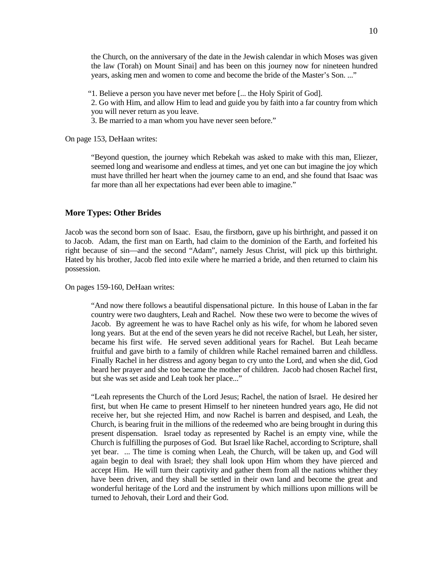the Church, on the anniversary of the date in the Jewish calendar in which Moses was given the law (Torah) on Mount Sinai] and has been on this journey now for nineteen hundred years, asking men and women to come and become the bride of the Master's Son. ..."

"1. Believe a person you have never met before [... the Holy Spirit of God].

2. Go with Him, and allow Him to lead and guide you by faith into a far country from which you will never return as you leave.

3. Be married to a man whom you have never seen before."

On page 153, DeHaan writes:

"Beyond question, the journey which Rebekah was asked to make with this man, Eliezer, seemed long and wearisome and endless at times, and yet one can but imagine the joy which must have thrilled her heart when the journey came to an end, and she found that Isaac was far more than all her expectations had ever been able to imagine."

# **More Types: Other Brides**

Jacob was the second born son of Isaac. Esau, the firstborn, gave up his birthright, and passed it on to Jacob. Adam, the first man on Earth, had claim to the dominion of the Earth, and forfeited his right because of sin—and the second "Adam", namely Jesus Christ, will pick up this birthright. Hated by his brother, Jacob fled into exile where he married a bride, and then returned to claim his possession.

On pages 159-160, DeHaan writes:

"And now there follows a beautiful dispensational picture. In this house of Laban in the far country were two daughters, Leah and Rachel. Now these two were to become the wives of Jacob. By agreement he was to have Rachel only as his wife, for whom he labored seven long years. But at the end of the seven years he did not receive Rachel, but Leah, her sister, became his first wife. He served seven additional years for Rachel. But Leah became fruitful and gave birth to a family of children while Rachel remained barren and childless. Finally Rachel in her distress and agony began to cry unto the Lord, and when she did, God heard her prayer and she too became the mother of children. Jacob had chosen Rachel first, but she was set aside and Leah took her place..."

"Leah represents the Church of the Lord Jesus; Rachel, the nation of Israel. He desired her first, but when He came to present Himself to her nineteen hundred years ago, He did not receive her, but she rejected Him, and now Rachel is barren and despised, and Leah, the Church, is bearing fruit in the millions of the redeemed who are being brought in during this present dispensation. Israel today as represented by Rachel is an empty vine, while the Church is fulfilling the purposes of God. But Israel like Rachel, according to Scripture, shall yet bear. ... The time is coming when Leah, the Church, will be taken up, and God will again begin to deal with Israel; they shall look upon Him whom they have pierced and accept Him. He will turn their captivity and gather them from all the nations whither they have been driven, and they shall be settled in their own land and become the great and wonderful heritage of the Lord and the instrument by which millions upon millions will be turned to Jehovah, their Lord and their God.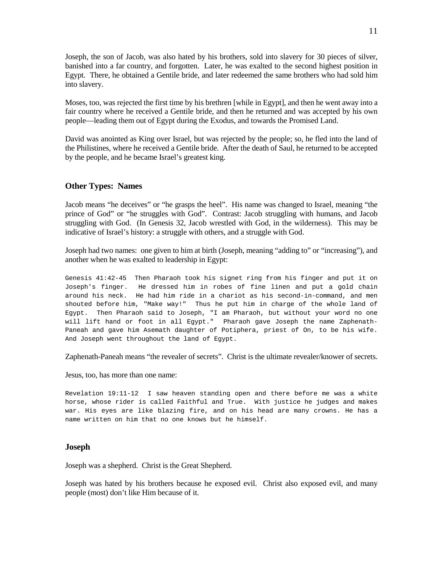Joseph, the son of Jacob, was also hated by his brothers, sold into slavery for 30 pieces of silver, banished into a far country, and forgotten. Later, he was exalted to the second highest position in Egypt. There, he obtained a Gentile bride, and later redeemed the same brothers who had sold him into slavery.

Moses, too, was rejected the first time by his brethren [while in Egypt], and then he went away into a fair country where he received a Gentile bride, and then he returned and was accepted by his own people—leading them out of Egypt during the Exodus, and towards the Promised Land.

David was anointed as King over Israel, but was rejected by the people; so, he fled into the land of the Philistines, where he received a Gentile bride. After the death of Saul, he returned to be accepted by the people, and he became Israel's greatest king.

# **Other Types: Names**

Jacob means "he deceives" or "he grasps the heel". His name was changed to Israel, meaning "the prince of God" or "he struggles with God". Contrast: Jacob struggling with humans, and Jacob struggling with God. (In Genesis 32, Jacob wrestled with God, in the wilderness). This may be indicative of Israel's history: a struggle with others, and a struggle with God.

Joseph had two names: one given to him at birth (Joseph, meaning "adding to" or "increasing"), and another when he was exalted to leadership in Egypt:

Genesis 41:42-45 Then Pharaoh took his signet ring from his finger and put it on Joseph's finger. He dressed him in robes of fine linen and put a gold chain around his neck. He had him ride in a chariot as his second-in-command, and men shouted before him, "Make way!" Thus he put him in charge of the whole land of Egypt. Then Pharaoh said to Joseph, "I am Pharaoh, but without your word no one will lift hand or foot in all Egypt." Pharaoh gave Joseph the name Zaphenath-Paneah and gave him Asemath daughter of Potiphera, priest of On, to be his wife. And Joseph went throughout the land of Egypt.

Zaphenath-Paneah means "the revealer of secrets". Christ is the ultimate revealer/knower of secrets.

Jesus, too, has more than one name:

Revelation 19:11-12 I saw heaven standing open and there before me was a white horse, whose rider is called Faithful and True. With justice he judges and makes war. His eyes are like blazing fire, and on his head are many crowns. He has a name written on him that no one knows but he himself.

# **Joseph**

Joseph was a shepherd. Christ is the Great Shepherd.

Joseph was hated by his brothers because he exposed evil. Christ also exposed evil, and many people (most) don't like Him because of it.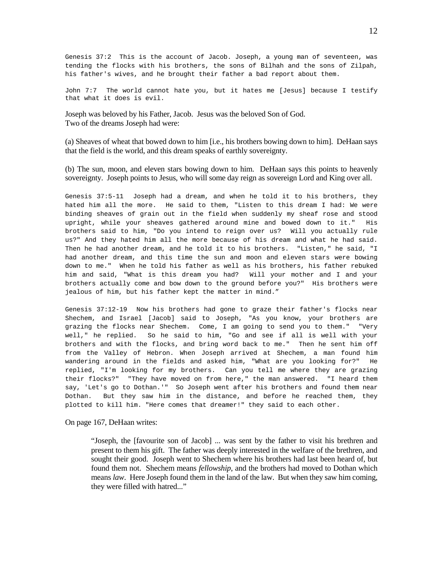Genesis 37:2 This is the account of Jacob. Joseph, a young man of seventeen, was tending the flocks with his brothers, the sons of Bilhah and the sons of Zilpah, his father's wives, and he brought their father a bad report about them.

John 7:7 The world cannot hate you, but it hates me [Jesus] because I testify that what it does is evil.

Joseph was beloved by his Father, Jacob. Jesus was the beloved Son of God. Two of the dreams Joseph had were:

(a) Sheaves of wheat that bowed down to him [i.e., his brothers bowing down to him]. DeHaan says that the field is the world, and this dream speaks of earthly sovereignty.

(b) The sun, moon, and eleven stars bowing down to him. DeHaan says this points to heavenly sovereignty. Joseph points to Jesus, who will some day reign as sovereign Lord and King over all.

Genesis 37:5-11 Joseph had a dream, and when he told it to his brothers, they hated him all the more. He said to them, "Listen to this dream I had: We were binding sheaves of grain out in the field when suddenly my sheaf rose and stood upright, while your sheaves gathered around mine and bowed down to it." His brothers said to him, "Do you intend to reign over us? Will you actually rule us?" And they hated him all the more because of his dream and what he had said. Then he had another dream, and he told it to his brothers. "Listen," he said, "I had another dream, and this time the sun and moon and eleven stars were bowing down to me." When he told his father as well as his brothers, his father rebuked him and said, "What is this dream you had? Will your mother and I and your brothers actually come and bow down to the ground before you?" His brothers were jealous of him, but his father kept the matter in mind."

Genesis 37:12-19 Now his brothers had gone to graze their father's flocks near Shechem, and Israel [Jacob] said to Joseph, "As you know, your brothers are grazing the flocks near Shechem. Come, I am going to send you to them." "Very well," he replied. So he said to him, "Go and see if all is well with your brothers and with the flocks, and bring word back to me." Then he sent him off from the Valley of Hebron. When Joseph arrived at Shechem, a man found him wandering around in the fields and asked him, "What are you looking for?" He replied, "I'm looking for my brothers. Can you tell me where they are grazing their flocks?" "They have moved on from here," the man answered. "I heard them say, 'Let's go to Dothan.'" So Joseph went after his brothers and found them near Dothan. But they saw him in the distance, and before he reached them, they plotted to kill him. "Here comes that dreamer!" they said to each other.

On page 167, DeHaan writes:

"Joseph, the [favourite son of Jacob] ... was sent by the father to visit his brethren and present to them his gift. The father was deeply interested in the welfare of the brethren, and sought their good. Joseph went to Shechem where his brothers had last been heard of, but found them not. Shechem means *fellowship*, and the brothers had moved to Dothan which means *law*. Here Joseph found them in the land of the law. But when they saw him coming, they were filled with hatred..."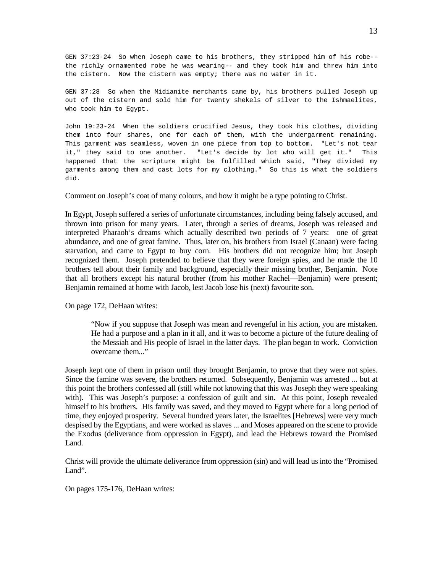GEN 37:23-24 So when Joseph came to his brothers, they stripped him of his robe- the richly ornamented robe he was wearing-- and they took him and threw him into the cistern. Now the cistern was empty; there was no water in it.

GEN 37:28 So when the Midianite merchants came by, his brothers pulled Joseph up out of the cistern and sold him for twenty shekels of silver to the Ishmaelites, who took him to Egypt.

John 19:23-24 When the soldiers crucified Jesus, they took his clothes, dividing them into four shares, one for each of them, with the undergarment remaining. This garment was seamless, woven in one piece from top to bottom. "Let's not tear it," they said to one another. "Let's decide by lot who will get it." This happened that the scripture might be fulfilled which said, "They divided my garments among them and cast lots for my clothing." So this is what the soldiers did.

Comment on Joseph's coat of many colours, and how it might be a type pointing to Christ.

In Egypt, Joseph suffered a series of unfortunate circumstances, including being falsely accused, and thrown into prison for many years. Later, through a series of dreams, Joseph was released and interpreted Pharaoh's dreams which actually described two periods of 7 years: one of great abundance, and one of great famine. Thus, later on, his brothers from Israel (Canaan) were facing starvation, and came to Egypt to buy corn. His brothers did not recognize him; but Joseph recognized them. Joseph pretended to believe that they were foreign spies, and he made the 10 brothers tell about their family and background, especially their missing brother, Benjamin. Note that all brothers except his natural brother (from his mother Rachel—Benjamin) were present; Benjamin remained at home with Jacob, lest Jacob lose his (next) favourite son.

On page 172, DeHaan writes:

"Now if you suppose that Joseph was mean and revengeful in his action, you are mistaken. He had a purpose and a plan in it all, and it was to become a picture of the future dealing of the Messiah and His people of Israel in the latter days. The plan began to work. Conviction overcame them..."

Joseph kept one of them in prison until they brought Benjamin, to prove that they were not spies. Since the famine was severe, the brothers returned. Subsequently, Benjamin was arrested ... but at this point the brothers confessed all (still while not knowing that this was Joseph they were speaking with). This was Joseph's purpose: a confession of guilt and sin. At this point, Joseph revealed himself to his brothers. His family was saved, and they moved to Egypt where for a long period of time, they enjoyed prosperity. Several hundred years later, the Israelites [Hebrews] were very much despised by the Egyptians, and were worked as slaves ... and Moses appeared on the scene to provide the Exodus (deliverance from oppression in Egypt), and lead the Hebrews toward the Promised Land.

Christ will provide the ultimate deliverance from oppression (sin) and will lead us into the "Promised Land".

On pages 175-176, DeHaan writes: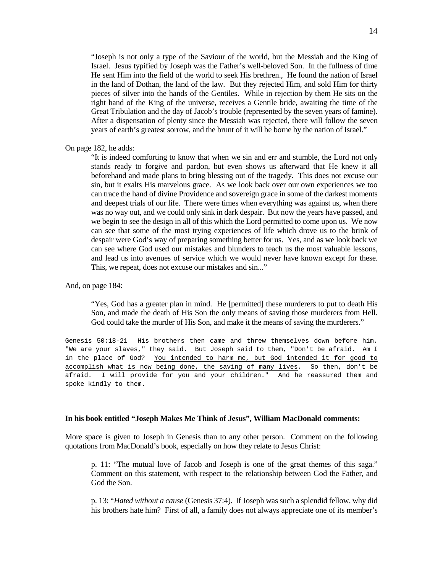"Joseph is not only a type of the Saviour of the world, but the Messiah and the King of Israel. Jesus typified by Joseph was the Father's well-beloved Son. In the fullness of time He sent Him into the field of the world to seek His brethren., He found the nation of Israel in the land of Dothan, the land of the law. But they rejected Him, and sold Him for thirty pieces of silver into the hands of the Gentiles. While in rejection by them He sits on the right hand of the King of the universe, receives a Gentile bride, awaiting the time of the Great Tribulation and the day of Jacob's trouble (represented by the seven years of famine). After a dispensation of plenty since the Messiah was rejected, there will follow the seven years of earth's greatest sorrow, and the brunt of it will be borne by the nation of Israel."

# On page 182, he adds:

"It is indeed comforting to know that when we sin and err and stumble, the Lord not only stands ready to forgive and pardon, but even shows us afterward that He knew it all beforehand and made plans to bring blessing out of the tragedy. This does not excuse our sin, but it exalts His marvelous grace. As we look back over our own experiences we too can trace the hand of divine Providence and sovereign grace in some of the darkest moments and deepest trials of our life. There were times when everything was against us, when there was no way out, and we could only sink in dark despair. But now the years have passed, and we begin to see the design in all of this which the Lord permitted to come upon us. We now can see that some of the most trying experiences of life which drove us to the brink of despair were God's way of preparing something better for us. Yes, and as we look back we can see where God used our mistakes and blunders to teach us the most valuable lessons, and lead us into avenues of service which we would never have known except for these. This, we repeat, does not excuse our mistakes and sin..."

And, on page 184:

"Yes, God has a greater plan in mind. He [permitted] these murderers to put to death His Son, and made the death of His Son the only means of saving those murderers from Hell. God could take the murder of His Son, and make it the means of saving the murderers."

Genesis 50:18-21 His brothers then came and threw themselves down before him. "We are your slaves," they said. But Joseph said to them, "Don't be afraid. Am I in the place of God? You intended to harm me, but God intended it for good to accomplish what is now being done, the saving of many lives. So then, don't be afraid. I will provide for you and your children." And he reassured them and spoke kindly to them.

#### **In his book entitled "Joseph Makes Me Think of Jesus", William MacDonald comments:**

More space is given to Joseph in Genesis than to any other person. Comment on the following quotations from MacDonald's book, especially on how they relate to Jesus Christ:

p. 11: "The mutual love of Jacob and Joseph is one of the great themes of this saga." Comment on this statement, with respect to the relationship between God the Father, and God the Son.

p. 13: "*Hated without a cause* (Genesis 37:4). If Joseph was such a splendid fellow, why did his brothers hate him? First of all, a family does not always appreciate one of its member's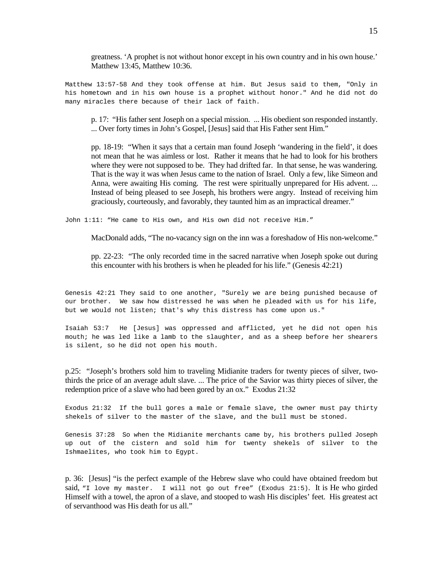greatness. 'A prophet is not without honor except in his own country and in his own house.' Matthew 13:45, Matthew 10:36.

Matthew 13:57-58 And they took offense at him. But Jesus said to them, "Only in his hometown and in his own house is a prophet without honor." And he did not do many miracles there because of their lack of faith.

p. 17: "His father sent Joseph on a special mission. ... His obedient son responded instantly. ... Over forty times in John's Gospel, [Jesus] said that His Father sent Him."

pp. 18-19: "When it says that a certain man found Joseph 'wandering in the field', it does not mean that he was aimless or lost. Rather it means that he had to look for his brothers where they were not supposed to be. They had drifted far. In that sense, he was wandering. That is the way it was when Jesus came to the nation of Israel. Only a few, like Simeon and Anna, were awaiting His coming. The rest were spiritually unprepared for His advent. ... Instead of being pleased to see Joseph, his brothers were angry. Instead of receiving him graciously, courteously, and favorably, they taunted him as an impractical dreamer."

John 1:11: "He came to His own, and His own did not receive Him."

MacDonald adds, "The no-vacancy sign on the inn was a foreshadow of His non-welcome."

pp. 22-23: "The only recorded time in the sacred narrative when Joseph spoke out during this encounter with his brothers is when he pleaded for his life." (Genesis 42:21)

Genesis 42:21 They said to one another, "Surely we are being punished because of our brother. We saw how distressed he was when he pleaded with us for his life, but we would not listen; that's why this distress has come upon us."

Isaiah 53:7 He [Jesus] was oppressed and afflicted, yet he did not open his mouth; he was led like a lamb to the slaughter, and as a sheep before her shearers is silent, so he did not open his mouth.

p.25: "Joseph's brothers sold him to traveling Midianite traders for twenty pieces of silver, twothirds the price of an average adult slave. ... The price of the Savior was thirty pieces of silver, the redemption price of a slave who had been gored by an ox." Exodus 21:32

Exodus 21:32 If the bull gores a male or female slave, the owner must pay thirty shekels of silver to the master of the slave, and the bull must be stoned.

Genesis 37:28 So when the Midianite merchants came by, his brothers pulled Joseph up out of the cistern and sold him for twenty shekels of silver to the Ishmaelites, who took him to Egypt.

p. 36: [Jesus] "is the perfect example of the Hebrew slave who could have obtained freedom but said, "I love my master. I will not go out free" (Exodus 21:5). It is He who girded Himself with a towel, the apron of a slave, and stooped to wash His disciples' feet. His greatest act of servanthood was His death for us all."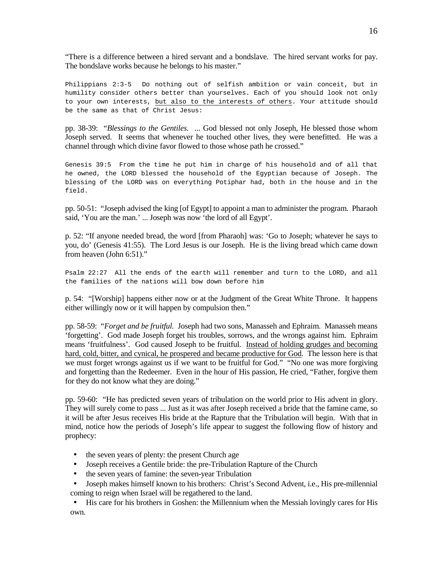"There is a difference between a hired servant and a bondslave. The hired servant works for pay. The bondslave works because he belongs to his master."

Philippians 2:3-5 Do nothing out of selfish ambition or vain conceit, but in humility consider others better than yourselves. Each of you should look not only to your own interests, but also to the interests of others. Your attitude should be the same as that of Christ Jesus:

pp. 38-39: "*Blessings to the Gentiles.* ... God blessed not only Joseph, He blessed those whom Joseph served. It seems that whenever he touched other lives, they were benefitted. He was a channel through which divine favor flowed to those whose path he crossed."

Genesis 39:5 From the time he put him in charge of his household and of all that he owned, the LORD blessed the household of the Egyptian because of Joseph. The blessing of the LORD was on everything Potiphar had, both in the house and in the field.

pp. 50-51: "Joseph advised the king [of Egypt] to appoint a man to administer the program. Pharaoh said, 'You are the man.' ... Joseph was now 'the lord of all Egypt'.

p. 52: "If anyone needed bread, the word [from Pharaoh] was: 'Go to Joseph; whatever he says to you, do' (Genesis 41:55). The Lord Jesus is our Joseph. He is the living bread which came down from heaven (John 6:51)."

Psalm 22:27 All the ends of the earth will remember and turn to the LORD, and all the families of the nations will bow down before him

p. 54: "[Worship] happens either now or at the Judgment of the Great White Throne. It happens either willingly now or it will happen by compulsion then."

pp. 58-59: "*Forget and be fruitful.* Joseph had two sons, Manasseh and Ephraim. Manasseh means 'forgetting'. God made Joseph forget his troubles, sorrows, and the wrongs against him. Ephraim means 'fruitfulness'. God caused Joseph to be fruitful. Instead of holding grudges and becoming hard, cold, bitter, and cynical, he prospered and became productive for God. The lesson here is that we must forget wrongs against us if we want to be fruitful for God." "No one was more forgiving and forgetting than the Redeemer. Even in the hour of His passion, He cried, "Father, forgive them for they do not know what they are doing."

pp. 59-60: "He has predicted seven years of tribulation on the world prior to His advent in glory. They will surely come to pass ... Just as it was after Joseph received a bride that the famine came, so it will be after Jesus receives His bride at the Rapture that the Tribulation will begin. With that in mind, notice how the periods of Joseph's life appear to suggest the following flow of history and prophecy:

- the seven years of plenty: the present Church age
- Joseph receives a Gentile bride: the pre-Tribulation Rapture of the Church
- the seven years of famine: the seven-year Tribulation
- Joseph makes himself known to his brothers: Christ's Second Advent, i.e., His pre-millennial coming to reign when Israel will be regathered to the land.

• His care for his brothers in Goshen: the Millennium when the Messiah lovingly cares for His own.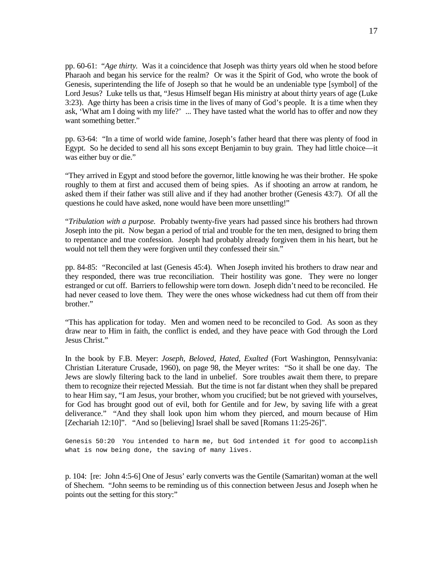pp. 60-61: "*Age thirty.* Was it a coincidence that Joseph was thirty years old when he stood before Pharaoh and began his service for the realm? Or was it the Spirit of God, who wrote the book of Genesis, superintending the life of Joseph so that he would be an undeniable type [symbol] of the Lord Jesus? Luke tells us that, "Jesus Himself began His ministry at about thirty years of age (Luke 3:23). Age thirty has been a crisis time in the lives of many of God's people. It is a time when they ask, 'What am I doing with my life?' ... They have tasted what the world has to offer and now they want something better."

pp. 63-64: "In a time of world wide famine, Joseph's father heard that there was plenty of food in Egypt. So he decided to send all his sons except Benjamin to buy grain. They had little choice—it was either buy or die."

"They arrived in Egypt and stood before the governor, little knowing he was their brother. He spoke roughly to them at first and accused them of being spies. As if shooting an arrow at random, he asked them if their father was still alive and if they had another brother (Genesis 43:7). Of all the questions he could have asked, none would have been more unsettling!"

"*Tribulation with a purpose.* Probably twenty-five years had passed since his brothers had thrown Joseph into the pit. Now began a period of trial and trouble for the ten men, designed to bring them to repentance and true confession. Joseph had probably already forgiven them in his heart, but he would not tell them they were forgiven until they confessed their sin."

pp. 84-85: "Reconciled at last (Genesis 45:4). When Joseph invited his brothers to draw near and they responded, there was true reconciliation. Their hostility was gone. They were no longer estranged or cut off. Barriers to fellowship were torn down. Joseph didn't need to be reconciled. He had never ceased to love them. They were the ones whose wickedness had cut them off from their brother."

"This has application for today. Men and women need to be reconciled to God. As soon as they draw near to Him in faith, the conflict is ended, and they have peace with God through the Lord Jesus Christ."

In the book by F.B. Meyer: *Joseph, Beloved, Hated, Exalted* (Fort Washington, Pennsylvania: Christian Literature Crusade, 1960), on page 98, the Meyer writes: "So it shall be one day. The Jews are slowly filtering back to the land in unbelief. Sore troubles await them there, to prepare them to recognize their rejected Messiah. But the time is not far distant when they shall be prepared to hear Him say, "I am Jesus, your brother, whom you crucified; but be not grieved with yourselves, for God has brought good out of evil, both for Gentile and for Jew, by saving life with a great deliverance." "And they shall look upon him whom they pierced, and mourn because of Him [Zechariah 12:10]". "And so [believing] Israel shall be saved [Romans 11:25-26]".

Genesis 50:20 You intended to harm me, but God intended it for good to accomplish what is now being done, the saving of many lives.

p. 104: [re: John 4:5-6] One of Jesus' early converts was the Gentile (Samaritan) woman at the well of Shechem. "John seems to be reminding us of this connection between Jesus and Joseph when he points out the setting for this story:"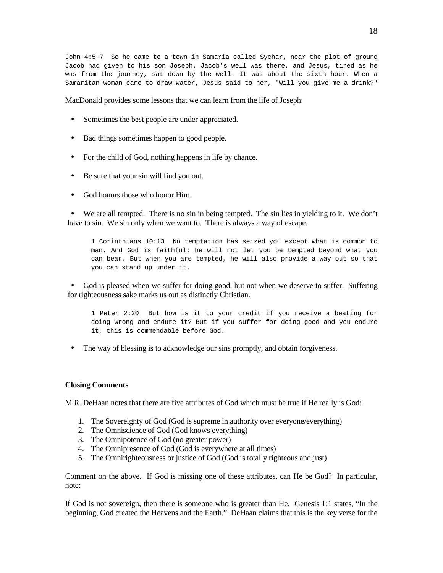John 4:5-7 So he came to a town in Samaria called Sychar, near the plot of ground Jacob had given to his son Joseph. Jacob's well was there, and Jesus, tired as he was from the journey, sat down by the well. It was about the sixth hour. When a Samaritan woman came to draw water, Jesus said to her, "Will you give me a drink?"

MacDonald provides some lessons that we can learn from the life of Joseph:

- Sometimes the best people are under-appreciated.
- Bad things sometimes happen to good people.
- For the child of God, nothing happens in life by chance.
- Be sure that your sin will find you out.
- God honors those who honor Him.

• We are all tempted. There is no sin in being tempted. The sin lies in yielding to it. We don't have to sin. We sin only when we want to. There is always a way of escape.

1 Corinthians 10:13 No temptation has seized you except what is common to man. And God is faithful; he will not let you be tempted beyond what you can bear. But when you are tempted, he will also provide a way out so that you can stand up under it.

• God is pleased when we suffer for doing good, but not when we deserve to suffer. Suffering for righteousness sake marks us out as distinctly Christian.

1 Peter 2:20 But how is it to your credit if you receive a beating for doing wrong and endure it? But if you suffer for doing good and you endure it, this is commendable before God.

• The way of blessing is to acknowledge our sins promptly, and obtain forgiveness.

#### **Closing Comments**

M.R. DeHaan notes that there are five attributes of God which must be true if He really is God:

- 1. The Sovereignty of God (God is supreme in authority over everyone/everything)
- 2. The Omniscience of God (God knows everything)
- 3. The Omnipotence of God (no greater power)
- 4. The Omnipresence of God (God is everywhere at all times)
- 5. The Omnirighteousness or justice of God (God is totally righteous and just)

Comment on the above. If God is missing one of these attributes, can He be God? In particular, note:

If God is not sovereign, then there is someone who is greater than He. Genesis 1:1 states, "In the beginning, God created the Heavens and the Earth." DeHaan claims that this is the key verse for the